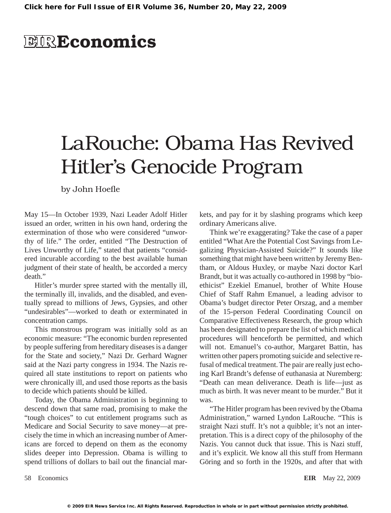## **EIRE**conomics

## LaRouche: Obama Has Revived Hitler's Genocide Program

by John Hoefle

May 15—In October 1939, Nazi Leader Adolf Hitler issued an order, written in his own hand, ordering the extermination of those who were considered "unworthy of life." The order, entitled "The Destruction of Lives Unworthy of Life," stated that patients "considered incurable according to the best available human judgment of their state of health, be accorded a mercy death."

Hitler's murder spree started with the mentally ill, the terminally ill, invalids, and the disabled, and eventually spread to millions of Jews, Gypsies, and other "undesirables"—worked to death or exterminated in concentration camps.

This monstrous program was initially sold as an economic measure: "The economic burden represented by people suffering from hereditary diseases is a danger for the State and society," Nazi Dr. Gerhard Wagner said at the Nazi party congress in 1934. The Nazis required all state institutions to report on patients who were chronically ill, and used those reports as the basis to decide which patients should be killed.

Today, the Obama Administration is beginning to descend down that same road, promising to make the "tough choices" to cut entitlement programs such as Medicare and Social Security to save money—at precisely the time in which an increasing number of Americans are forced to depend on them as the economy slides deeper into Depression. Obama is willing to spend trillions of dollars to bail out the financial markets, and pay for it by slashing programs which keep ordinary Americans alive.

Think we're exaggerating? Take the case of a paper entitled "What Are the Potential Cost Savings from Legalizing Physician-Assisted Suicide?" It sounds like something that might have been written by Jeremy Bentham, or Aldous Huxley, or maybe Nazi doctor Karl Brandt, but it was actually co-authored in 1998 by "bioethicist" Ezekiel Emanuel, brother of White House Chief of Staff Rahm Emanuel, a leading advisor to Obama's budget director Peter Orszag, and a member of the 15-person Federal Coordinating Council on Comparative Effectiveness Research, the group which has been designated to prepare the list of which medical procedures will henceforth be permitted, and which will not. Emanuel's co-author, Margaret Battin, has written other papers promoting suicide and selective refusal of medical treatment. The pair are really just echoing Karl Brandt's defense of euthanasia at Nuremberg: "Death can mean deliverance. Death is life—just as much as birth. It was never meant to be murder." But it was.

"The Hitler program has been revived by the Obama Administration," warned Lyndon LaRouche. "This is straight Nazi stuff. It's not a quibble; it's not an interpretation. This is a direct copy of the philosophy of the Nazis. You cannot duck that issue. This is Nazi stuff, and it's explicit. We know all this stuff from Hermann Göring and so forth in the 1920s, and after that with

58 Economics **EIR** May 22, 2009